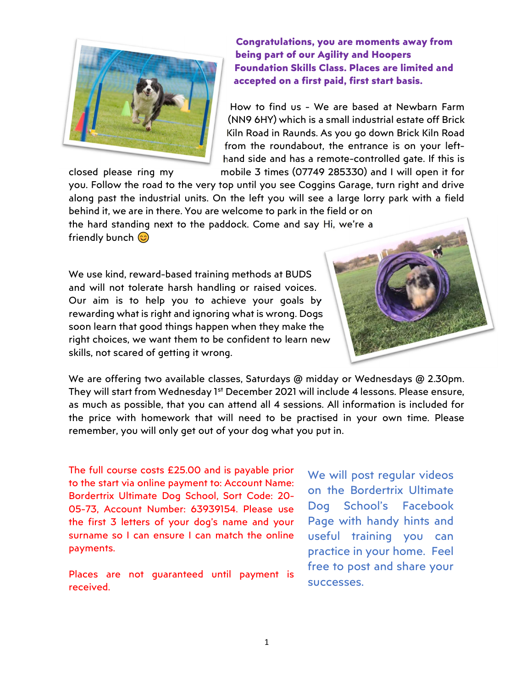

Congratulations, you are moments away from being part of our Agility and Hoopers Foundation Skills Class. Places are limited and accepted on a first paid, first start basis.

How to find us - We are based at Newbarn Farm (NN9 6HY) which is a small industrial estate off Brick Kiln Road in Raunds. As you go down Brick Kiln Road from the roundabout, the entrance is on your lefthand side and has a remote-controlled gate. If this is closed please ring my mobile 3 times (07749 285330) and I will open it for

you. Follow the road to the very top until you see Coggins Garage, turn right and drive along past the industrial units. On the left you will see a large lorry park with a field behind it, we are in there. You are welcome to park in the field or on the hard standing next to the paddock. Come and say Hi, we're a friendly bunch  $\circledcirc$ 

We use kind, reward-based training methods at BUDS and will not tolerate harsh handling or raised voices. Our aim is to help you to achieve your goals by rewarding what is right and ignoring what is wrong. Dogs soon learn that good things happen when they make the right choices, we want them to be confident to learn new skills, not scared of getting it wrong.



We are offering two available classes, Saturdays @ midday or Wednesdays @ 2.30pm. They will start from Wednesday 1<sup>st</sup> December 2021 will include 4 lessons. Please ensure, as much as possible, that you can attend all 4 sessions. All information is included for the price with homework that will need to be practised in your own time. Please remember, you will only get out of your dog what you put in.

The full course costs £25.00 and is payable prior to the start via online payment to: Account Name: Bordertrix Ultimate Dog School, Sort Code: 20- 05-73, Account Number: 63939154. Please use the first 3 letters of your dog's name and your surname so I can ensure I can match the online payments.

Places are not guaranteed until payment is received.

We will post regular videos on the Bordertrix Ultimate Dog School's Facebook Page with handy hints and useful training you can practice in your home. Feel free to post and share your successes.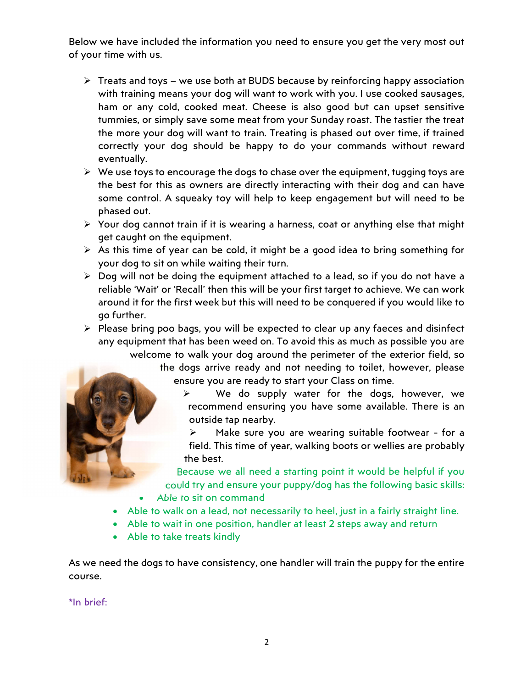Below we have included the information you need to ensure you get the very most out of your time with us.

- $\triangleright$  Treats and toys we use both at BUDS because by reinforcing happy association with training means your dog will want to work with you. I use cooked sausages, ham or any cold, cooked meat. Cheese is also good but can upset sensitive tummies, or simply save some meat from your Sunday roast. The tastier the treat the more your dog will want to train. Treating is phased out over time, if trained correctly your dog should be happy to do your commands without reward eventually.
- $\triangleright$  We use toys to encourage the dogs to chase over the equipment, tugging toys are the best for this as owners are directly interacting with their dog and can have some control. A squeaky toy will help to keep engagement but will need to be phased out.
- $\triangleright$  Your dog cannot train if it is wearing a harness, coat or anything else that might get caught on the equipment.
- $\triangleright$  As this time of year can be cold, it might be a good idea to bring something for your dog to sit on while waiting their turn.
- $\triangleright$  Dog will not be doing the equipment attached to a lead, so if you do not have a reliable 'Wait' or 'Recall' then this will be your first target to achieve. We can work around it for the first week but this will need to be conquered if you would like to go further.

 $\triangleright$  Please bring poo bags, you will be expected to clear up any faeces and disinfect any equipment that has been weed on. To avoid this as much as possible you are welcome to walk your dog around the perimeter of the exterior field, so

the dogs arrive ready and not needing to toilet, however, please ensure you are ready to start your Class on time.

 $\triangleright$  We do supply water for the dogs, however, we recommend ensuring you have some available. There is an outside tap nearby.

 Make sure you are wearing suitable footwear - for a field. This time of year, walking boots or wellies are probably the best.

Because we all need a starting point it would be helpful if you could try and ensure your puppy/dog has the following basic skills:

- Able to sit on command
- Able to walk on a lead, not necessarily to heel, just in a fairly straight line.
- Able to wait in one position, handler at least 2 steps away and return
- Able to take treats kindly

As we need the dogs to have consistency, one handler will train the puppy for the entire course.

\*In brief: